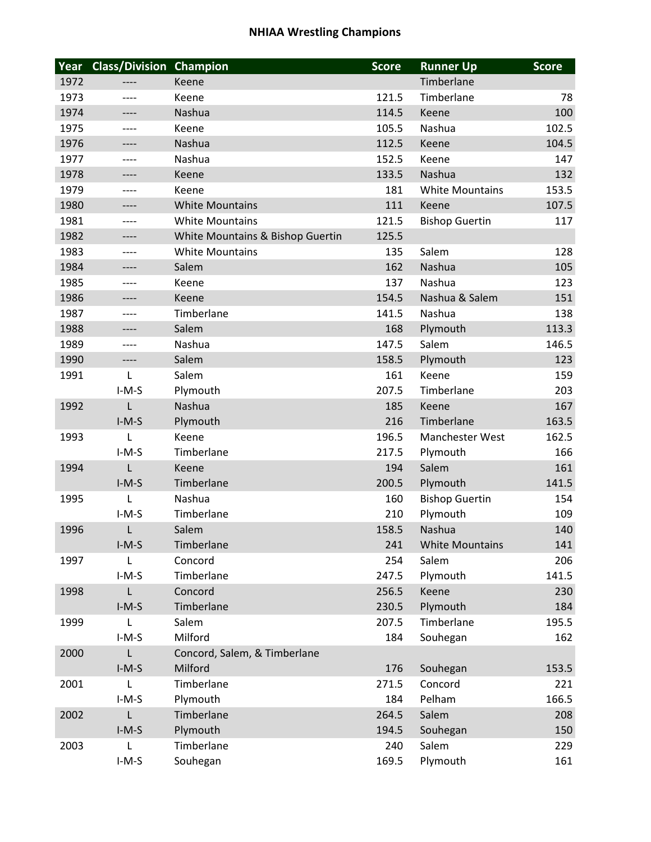## **NHIAA Wrestling Champions**

| Year | <b>Class/Division Champion</b> |                                  | <b>Score</b> | <b>Runner Up</b>       | <b>Score</b> |
|------|--------------------------------|----------------------------------|--------------|------------------------|--------------|
| 1972 |                                | Keene                            |              | Timberlane             |              |
| 1973 | ----                           | Keene                            | 121.5        | Timberlane             | 78           |
| 1974 | ----                           | Nashua                           | 114.5        | Keene                  | 100          |
| 1975 | ----                           | Keene                            | 105.5        | Nashua                 | 102.5        |
| 1976 | ----                           | Nashua                           | 112.5        | Keene                  | 104.5        |
| 1977 | ----                           | Nashua                           | 152.5        | Keene                  | 147          |
| 1978 | ----                           | Keene                            | 133.5        | Nashua                 | 132          |
| 1979 | ----                           | Keene                            | 181          | <b>White Mountains</b> | 153.5        |
| 1980 | ----                           | <b>White Mountains</b>           | 111          | Keene                  | 107.5        |
| 1981 | ----                           | <b>White Mountains</b>           | 121.5        | <b>Bishop Guertin</b>  | 117          |
| 1982 | ----                           | White Mountains & Bishop Guertin | 125.5        |                        |              |
| 1983 | ----                           | <b>White Mountains</b>           | 135          | Salem                  | 128          |
| 1984 | ----                           | Salem                            | 162          | Nashua                 | 105          |
| 1985 | ----                           | Keene                            | 137          | Nashua                 | 123          |
| 1986 | ----                           | Keene                            | 154.5        | Nashua & Salem         | 151          |
| 1987 | ----                           | Timberlane                       | 141.5        | Nashua                 | 138          |
| 1988 | ----                           | Salem                            | 168          | Plymouth               | 113.3        |
| 1989 | ----                           | Nashua                           | 147.5        | Salem                  | 146.5        |
| 1990 | ----                           | Salem                            | 158.5        | Plymouth               | 123          |
| 1991 | L                              | Salem                            | 161          | Keene                  | 159          |
|      | $I-M-S$                        | Plymouth                         | 207.5        | Timberlane             | 203          |
| 1992 | L                              | Nashua                           | 185          | Keene                  | 167          |
|      | $I-M-S$                        | Plymouth                         | 216          | Timberlane             | 163.5        |
| 1993 | L                              | Keene                            | 196.5        | Manchester West        | 162.5        |
|      | $I-M-S$                        | Timberlane                       | 217.5        | Plymouth               | 166          |
| 1994 | L                              | Keene                            | 194          | Salem                  | 161          |
|      | $I-M-S$                        | Timberlane                       | 200.5        | Plymouth               | 141.5        |
| 1995 | L                              | Nashua                           | 160          | <b>Bishop Guertin</b>  | 154          |
|      | $I-M-S$                        | Timberlane                       | 210          | Plymouth               | 109          |
| 1996 | L                              | Salem                            | 158.5        | Nashua                 | 140          |
|      | $I-M-S$                        | Timberlane                       | 241          | <b>White Mountains</b> | 141          |
| 1997 | L                              | Concord                          | 254          | Salem                  | 206          |
|      | $I-M-S$                        | Timberlane                       | 247.5        | Plymouth               | 141.5        |
| 1998 | L                              | Concord                          | 256.5        | Keene                  | 230          |
|      | $I-M-S$                        | Timberlane                       | 230.5        | Plymouth               | 184          |
| 1999 | L                              | Salem                            | 207.5        | Timberlane             | 195.5        |
|      | $I-M-S$                        | Milford                          | 184          | Souhegan               | 162          |
| 2000 | L                              | Concord, Salem, & Timberlane     |              |                        |              |
|      | $I-M-S$                        | Milford                          | 176          | Souhegan               | 153.5        |
| 2001 | L                              | Timberlane                       | 271.5        | Concord                | 221          |
|      | $I-M-S$                        | Plymouth                         | 184          | Pelham                 | 166.5        |
| 2002 | L                              | Timberlane                       | 264.5        | Salem                  | 208          |
|      | $I-M-S$                        | Plymouth                         | 194.5        | Souhegan               | 150          |
| 2003 | L                              | Timberlane                       | 240          | Salem                  | 229          |
|      | $I-M-S$                        | Souhegan                         | 169.5        | Plymouth               | 161          |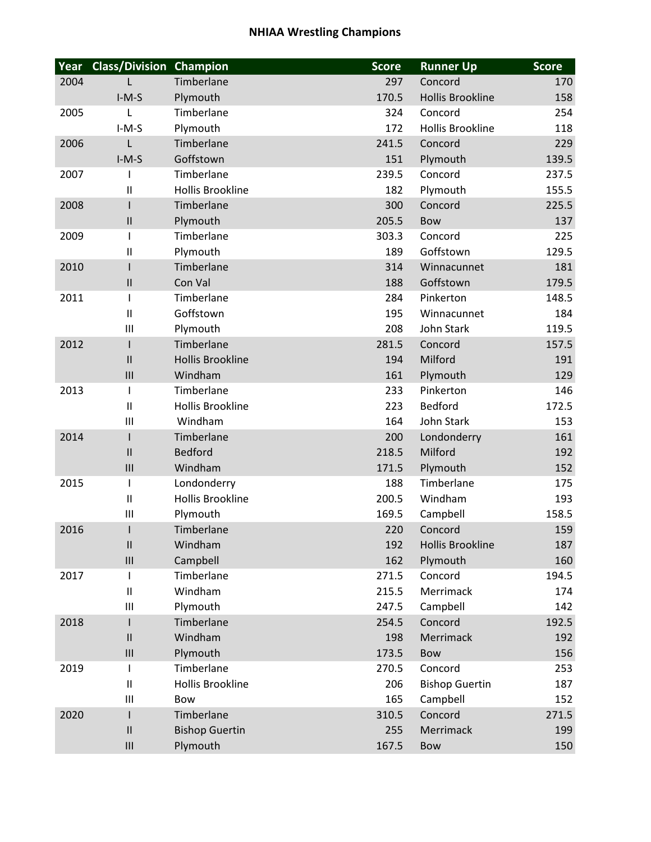## **NHIAA Wrestling Champions**

| Year | <b>Class/Division Champion</b>        |                         | <b>Score</b> | <b>Runner Up</b>        | <b>Score</b> |
|------|---------------------------------------|-------------------------|--------------|-------------------------|--------------|
| 2004 | L                                     | Timberlane              | 297          | Concord                 | 170          |
|      | $I-M-S$                               | Plymouth                | 170.5        | <b>Hollis Brookline</b> | 158          |
| 2005 | L                                     | Timberlane              | 324          | Concord                 | 254          |
|      | $I-M-S$                               | Plymouth                | 172          | <b>Hollis Brookline</b> | 118          |
| 2006 | L                                     | Timberlane              | 241.5        | Concord                 | 229          |
|      | $I-M-S$                               | Goffstown               | 151          | Plymouth                | 139.5        |
| 2007 | ı                                     | Timberlane              | 239.5        | Concord                 | 237.5        |
|      | $\mathbf{I}$                          | <b>Hollis Brookline</b> | 182          | Plymouth                | 155.5        |
| 2008 | $\mathsf{l}$                          | Timberlane              | 300          | Concord                 | 225.5        |
|      | $\mathbf{II}$                         | Plymouth                | 205.5        | <b>Bow</b>              | 137          |
| 2009 | $\mathsf I$                           | Timberlane              | 303.3        | Concord                 | 225          |
|      | $\begin{array}{c} \hline \end{array}$ | Plymouth                | 189          | Goffstown               | 129.5        |
| 2010 | I                                     | Timberlane              | 314          | Winnacunnet             | 181          |
|      | $\mathbf{II}$                         | Con Val                 | 188          | Goffstown               | 179.5        |
| 2011 | ı                                     | Timberlane              | 284          | Pinkerton               | 148.5        |
|      | $\mathbf{II}$                         | Goffstown               | 195          | Winnacunnet             | 184          |
|      | $\mathbf{III}$                        | Plymouth                | 208          | John Stark              | 119.5        |
| 2012 | $\mathsf{l}$                          | Timberlane              | 281.5        | Concord                 | 157.5        |
|      | $\mathbf{I}$                          | <b>Hollis Brookline</b> | 194          | Milford                 | 191          |
|      | III                                   | Windham                 | 161          | Plymouth                | 129          |
| 2013 | $\mathsf{l}$                          | Timberlane              | 233          | Pinkerton               | 146          |
|      | $\mathbf{II}$                         | <b>Hollis Brookline</b> | 223          | <b>Bedford</b>          | 172.5        |
|      | III                                   | Windham                 | 164          | John Stark              | 153          |
| 2014 | $\mathsf{l}$                          | Timberlane              | 200          | Londonderry             | 161          |
|      | $\mathbf{II}$                         | <b>Bedford</b>          | 218.5        | Milford                 | 192          |
|      | III                                   | Windham                 | 171.5        | Plymouth                | 152          |
| 2015 | ı                                     | Londonderry             | 188          | Timberlane              | 175          |
|      | $\mathbf{II}$                         | <b>Hollis Brookline</b> | 200.5        | Windham                 | 193          |
|      | $\mathbf{III}$                        | Plymouth                | 169.5        | Campbell                | 158.5        |
| 2016 | ı                                     | Timberlane              | 220          | Concord                 | 159          |
|      | $\mathbf{II}$                         | Windham                 | 192          | <b>Hollis Brookline</b> | 187          |
|      | $\ensuremath{\mathsf{III}}\xspace$    | Campbell                | 162          | Plymouth                | 160          |
| 2017 | I                                     | Timberlane              | 271.5        | Concord                 | 194.5        |
|      | $\mathbf{II}$                         | Windham                 | 215.5        | Merrimack               | 174          |
|      | $\mathbf{III}$                        | Plymouth                | 247.5        | Campbell                | 142          |
| 2018 | ı                                     | Timberlane              | 254.5        | Concord                 | 192.5        |
|      | $\mathbf{II}$                         | Windham                 | 198          | Merrimack               | 192          |
|      | III                                   | Plymouth                | 173.5        | Bow                     | 156          |
| 2019 | T                                     | Timberlane              | 270.5        | Concord                 | 253          |
|      | $\mathbf{II}$                         | <b>Hollis Brookline</b> | 206          | <b>Bishop Guertin</b>   | 187          |
|      | $\mathbf{III}$                        | Bow                     | 165          | Campbell                | 152          |
| 2020 | I                                     | Timberlane              | 310.5        | Concord                 | 271.5        |
|      | $\mathbf{II}$                         | <b>Bishop Guertin</b>   | 255          | Merrimack               | 199          |
|      | $\ensuremath{\mathsf{III}}\xspace$    | Plymouth                | 167.5        | Bow                     | 150          |